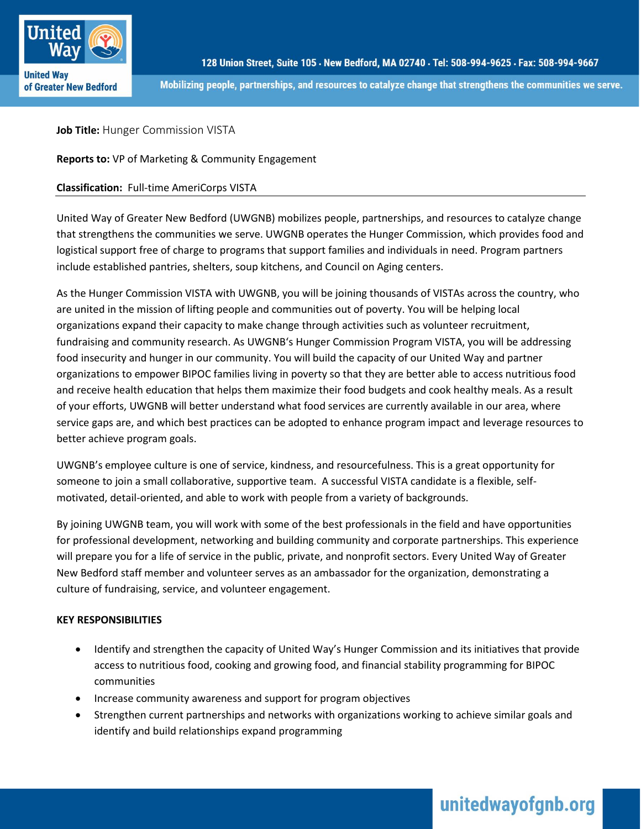

Mobilizing people, partnerships, and resources to catalyze change that strengthens the communities we serve.

**Job Title: Hunger Commission VISTA** 

**Reports to:** VP of Marketing & Community Engagement

## **Classification:** Full-time AmeriCorps VISTA

United Way of Greater New Bedford (UWGNB) mobilizes people, partnerships, and resources to catalyze change that strengthens the communities we serve. UWGNB operates the Hunger Commission, which provides food and logistical support free of charge to programs that support families and individuals in need. Program partners include established pantries, shelters, soup kitchens, and Council on Aging centers.

As the Hunger Commission VISTA with UWGNB, you will be joining thousands of VISTAs across the country, who are united in the mission of lifting people and communities out of poverty. You will be helping local organizations expand their capacity to make change through activities such as volunteer recruitment, fundraising and community research. As UWGNB's Hunger Commission Program VISTA, you will be addressing food insecurity and hunger in our community. You will build the capacity of our United Way and partner organizations to empower BIPOC families living in poverty so that they are better able to access nutritious food and receive health education that helps them maximize their food budgets and cook healthy meals. As a result of your efforts, UWGNB will better understand what food services are currently available in our area, where service gaps are, and which best practices can be adopted to enhance program impact and leverage resources to better achieve program goals.

UWGNB's employee culture is one of service, kindness, and resourcefulness. This is a great opportunity for someone to join a small collaborative, supportive team. A successful VISTA candidate is a flexible, selfmotivated, detail-oriented, and able to work with people from a variety of backgrounds.

By joining UWGNB team, you will work with some of the best professionals in the field and have opportunities for professional development, networking and building community and corporate partnerships. This experience will prepare you for a life of service in the public, private, and nonprofit sectors. Every United Way of Greater New Bedford staff member and volunteer serves as an ambassador for the organization, demonstrating a culture of fundraising, service, and volunteer engagement.

## **KEY RESPONSIBILITIES**

- Identify and strengthen the capacity of United Way's Hunger Commission and its initiatives that provide access to nutritious food, cooking and growing food, and financial stability programming for BIPOC communities
- Increase community awareness and support for program objectives
- Strengthen current partnerships and networks with organizations working to achieve similar goals and identify and build relationships expand programming

# unitedwayofgnb.org